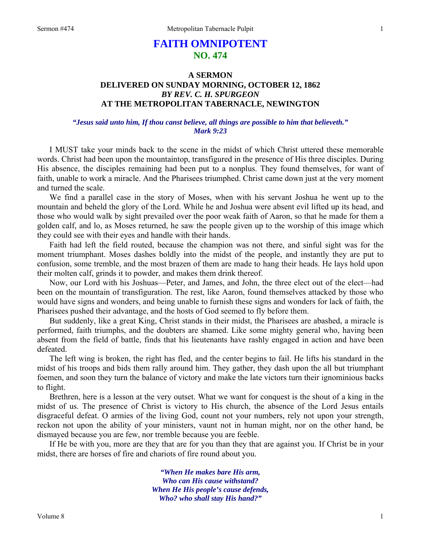# **FAITH OMNIPOTENT NO. 474**

## **A SERMON DELIVERED ON SUNDAY MORNING, OCTOBER 12, 1862**  *BY REV. C. H. SPURGEON*  **AT THE METROPOLITAN TABERNACLE, NEWINGTON**

### *"Jesus said unto him, If thou canst believe, all things are possible to him that believeth." Mark 9:23*

I MUST take your minds back to the scene in the midst of which Christ uttered these memorable words. Christ had been upon the mountaintop, transfigured in the presence of His three disciples. During His absence, the disciples remaining had been put to a nonplus. They found themselves, for want of faith, unable to work a miracle. And the Pharisees triumphed. Christ came down just at the very moment and turned the scale.

We find a parallel case in the story of Moses, when with his servant Joshua he went up to the mountain and beheld the glory of the Lord. While he and Joshua were absent evil lifted up its head, and those who would walk by sight prevailed over the poor weak faith of Aaron, so that he made for them a golden calf, and lo, as Moses returned, he saw the people given up to the worship of this image which they could see with their eyes and handle with their hands.

Faith had left the field routed, because the champion was not there, and sinful sight was for the moment triumphant. Moses dashes boldly into the midst of the people, and instantly they are put to confusion, some tremble, and the most brazen of them are made to hang their heads. He lays hold upon their molten calf, grinds it to powder, and makes them drink thereof.

Now, our Lord with his Joshuas—Peter, and James, and John, the three elect out of the elect—had been on the mountain of transfiguration. The rest, like Aaron, found themselves attacked by those who would have signs and wonders, and being unable to furnish these signs and wonders for lack of faith, the Pharisees pushed their advantage, and the hosts of God seemed to fly before them.

But suddenly, like a great King, Christ stands in their midst, the Pharisees are abashed, a miracle is performed, faith triumphs, and the doubters are shamed. Like some mighty general who, having been absent from the field of battle, finds that his lieutenants have rashly engaged in action and have been defeated.

The left wing is broken, the right has fled, and the center begins to fail. He lifts his standard in the midst of his troops and bids them rally around him. They gather, they dash upon the all but triumphant foemen, and soon they turn the balance of victory and make the late victors turn their ignominious backs to flight.

Brethren, here is a lesson at the very outset. What we want for conquest is the shout of a king in the midst of us. The presence of Christ is victory to His church, the absence of the Lord Jesus entails disgraceful defeat. O armies of the living God, count not your numbers, rely not upon your strength, reckon not upon the ability of your ministers, vaunt not in human might, nor on the other hand, be dismayed because you are few, nor tremble because you are feeble.

If He be with you, more are they that are for you than they that are against you. If Christ be in your midst, there are horses of fire and chariots of fire round about you.

> *"When He makes bare His arm, Who can His cause withstand? When He His people's cause defends, Who? who shall stay His hand?"*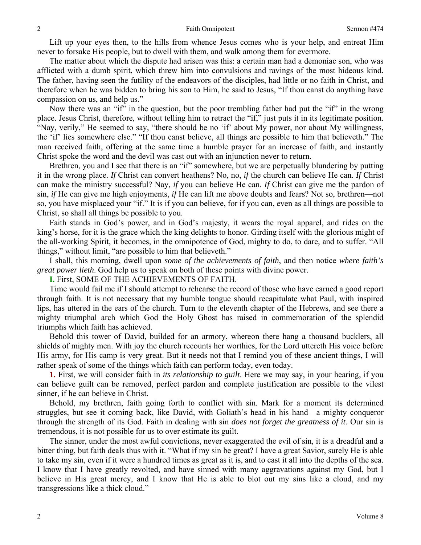Lift up your eyes then, to the hills from whence Jesus comes who is your help, and entreat Him never to forsake His people, but to dwell with them, and walk among them for evermore.

The matter about which the dispute had arisen was this: a certain man had a demoniac son, who was afflicted with a dumb spirit, which threw him into convulsions and ravings of the most hideous kind. The father, having seen the futility of the endeavors of the disciples, had little or no faith in Christ, and therefore when he was bidden to bring his son to Him, he said to Jesus, "If thou canst do anything have compassion on us, and help us."

Now there was an "if" in the question, but the poor trembling father had put the "if" in the wrong place. Jesus Christ, therefore, without telling him to retract the "if," just puts it in its legitimate position. "Nay, verily," He seemed to say, "there should be no 'if' about My power, nor about My willingness, the 'if' lies somewhere else." "If thou canst believe, all things are possible to him that believeth." The man received faith, offering at the same time a humble prayer for an increase of faith, and instantly Christ spoke the word and the devil was cast out with an injunction never to return.

Brethren, you and I see that there is an "if" somewhere, but we are perpetually blundering by putting it in the wrong place. *If* Christ can convert heathens? No, no, *if* the church can believe He can. *If* Christ can make the ministry successful? Nay, *if* you can believe He can. *If* Christ can give me the pardon of sin, *if* He can give me high enjoyments, *if* He can lift me above doubts and fears? Not so, brethren—not so, you have misplaced your "if." It is if you can believe, for if you can, even as all things are possible to Christ, so shall all things be possible to you.

Faith stands in God's power, and in God's majesty, it wears the royal apparel, and rides on the king's horse, for it is the grace which the king delights to honor. Girding itself with the glorious might of the all-working Spirit, it becomes, in the omnipotence of God, mighty to do, to dare, and to suffer. "All things," without limit, "are possible to him that believeth."

I shall, this morning, dwell upon *some of the achievements of faith*, and then notice *where faith's great power lieth*. God help us to speak on both of these points with divine power.

**I.** First, SOME OF THE ACHIEVEMENTS OF FAITH.

Time would fail me if I should attempt to rehearse the record of those who have earned a good report through faith. It is not necessary that my humble tongue should recapitulate what Paul, with inspired lips, has uttered in the ears of the church. Turn to the eleventh chapter of the Hebrews, and see there a mighty triumphal arch which God the Holy Ghost has raised in commemoration of the splendid triumphs which faith has achieved.

Behold this tower of David, builded for an armory, whereon there hang a thousand bucklers, all shields of mighty men. With joy the church recounts her worthies, for the Lord uttereth His voice before His army, for His camp is very great. But it needs not that I remind you of these ancient things, I will rather speak of some of the things which faith can perform today, even today.

**1.** First, we will consider faith in *its relationship to guilt*. Here we may say, in your hearing, if you can believe guilt can be removed, perfect pardon and complete justification are possible to the vilest sinner, if he can believe in Christ.

Behold, my brethren, faith going forth to conflict with sin. Mark for a moment its determined struggles, but see it coming back, like David, with Goliath's head in his hand—a mighty conqueror through the strength of its God. Faith in dealing with sin *does not forget the greatness of it*. Our sin is tremendous, it is not possible for us to over estimate its guilt.

The sinner, under the most awful convictions, never exaggerated the evil of sin, it is a dreadful and a bitter thing, but faith deals thus with it. "What if my sin be great? I have a great Savior, surely He is able to take my sin, even if it were a hundred times as great as it is, and to cast it all into the depths of the sea. I know that I have greatly revolted, and have sinned with many aggravations against my God, but I believe in His great mercy, and I know that He is able to blot out my sins like a cloud, and my transgressions like a thick cloud."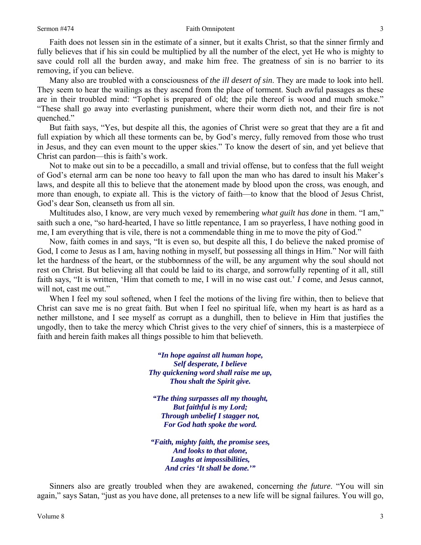#### Sermon #474 Faith Omnipotent

Faith does not lessen sin in the estimate of a sinner, but it exalts Christ, so that the sinner firmly and fully believes that if his sin could be multiplied by all the number of the elect, yet He who is mighty to save could roll all the burden away, and make him free. The greatness of sin is no barrier to its removing, if you can believe.

Many also are troubled with a consciousness of *the ill desert of sin*. They are made to look into hell. They seem to hear the wailings as they ascend from the place of torment. Such awful passages as these are in their troubled mind: "Tophet is prepared of old; the pile thereof is wood and much smoke." "These shall go away into everlasting punishment, where their worm dieth not, and their fire is not quenched."

But faith says, "Yes, but despite all this, the agonies of Christ were so great that they are a fit and full expiation by which all these torments can be, by God's mercy, fully removed from those who trust in Jesus, and they can even mount to the upper skies." To know the desert of sin, and yet believe that Christ can pardon—this is faith's work.

Not to make out sin to be a peccadillo, a small and trivial offense, but to confess that the full weight of God's eternal arm can be none too heavy to fall upon the man who has dared to insult his Maker's laws, and despite all this to believe that the atonement made by blood upon the cross, was enough, and more than enough, to expiate all. This is the victory of faith—to know that the blood of Jesus Christ, God's dear Son, cleanseth us from all sin.

Multitudes also, I know, are very much vexed by remembering *what guilt has done* in them. "I am," saith such a one, "so hard-hearted, I have so little repentance, I am so prayerless, I have nothing good in me, I am everything that is vile, there is not a commendable thing in me to move the pity of God."

Now, faith comes in and says, "It is even so, but despite all this, I do believe the naked promise of God, I come to Jesus as I am, having nothing in myself, but possessing all things in Him." Nor will faith let the hardness of the heart, or the stubbornness of the will, be any argument why the soul should not rest on Christ. But believing all that could be laid to its charge, and sorrowfully repenting of it all, still faith says, "It is written, 'Him that cometh to me, I will in no wise cast out.' *I* come, and Jesus cannot, will not, cast me out."

When I feel my soul softened, when I feel the motions of the living fire within, then to believe that Christ can save me is no great faith. But when I feel no spiritual life, when my heart is as hard as a nether millstone, and I see myself as corrupt as a dunghill, then to believe in Him that justifies the ungodly, then to take the mercy which Christ gives to the very chief of sinners, this is a masterpiece of faith and herein faith makes all things possible to him that believeth.

> *"In hope against all human hope, Self desperate, I believe Thy quickening word shall raise me up, Thou shalt the Spirit give.*

*"The thing surpasses all my thought, But faithful is my Lord; Through unbelief I stagger not, For God hath spoke the word.* 

*"Faith, mighty faith, the promise sees, And looks to that alone, Laughs at impossibilities, And cries 'It shall be done.'"* 

Sinners also are greatly troubled when they are awakened, concerning *the future*. "You will sin again," says Satan, "just as you have done, all pretenses to a new life will be signal failures. You will go,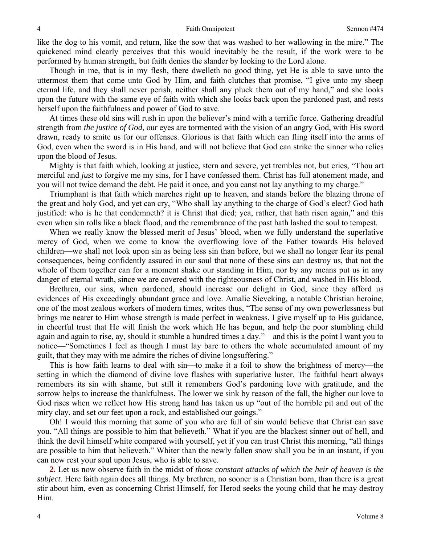like the dog to his vomit, and return, like the sow that was washed to her wallowing in the mire." The quickened mind clearly perceives that this would inevitably be the result, if the work were to be performed by human strength, but faith denies the slander by looking to the Lord alone.

Though in me, that is in my flesh, there dwelleth no good thing, yet He is able to save unto the uttermost them that come unto God by Him, and faith clutches that promise, "I give unto my sheep eternal life, and they shall never perish, neither shall any pluck them out of my hand," and she looks upon the future with the same eye of faith with which she looks back upon the pardoned past, and rests herself upon the faithfulness and power of God to save.

At times these old sins will rush in upon the believer's mind with a terrific force. Gathering dreadful strength from *the justice of God*, our eyes are tormented with the vision of an angry God, with His sword drawn, ready to smite us for our offenses. Glorious is that faith which can fling itself into the arms of God, even when the sword is in His hand, and will not believe that God can strike the sinner who relies upon the blood of Jesus.

Mighty is that faith which, looking at justice, stern and severe, yet trembles not, but cries, "Thou art merciful and *just* to forgive me my sins, for I have confessed them. Christ has full atonement made, and you will not twice demand the debt. He paid it once, and you canst not lay anything to my charge."

Triumphant is that faith which marches right up to heaven, and stands before the blazing throne of the great and holy God, and yet can cry, "Who shall lay anything to the charge of God's elect? God hath justified: who is he that condemneth? it is Christ that died; yea, rather, that hath risen again," and this even when sin rolls like a black flood, and the remembrance of the past hath lashed the soul to tempest.

When we really know the blessed merit of Jesus' blood, when we fully understand the superlative mercy of God, when we come to know the overflowing love of the Father towards His beloved children—we shall not look upon sin as being less sin than before, but we shall no longer fear its penal consequences, being confidently assured in our soul that none of these sins can destroy us, that not the whole of them together can for a moment shake our standing in Him, nor by any means put us in any danger of eternal wrath, since we are covered with the righteousness of Christ, and washed in His blood.

Brethren, our sins, when pardoned, should increase our delight in God, since they afford us evidences of His exceedingly abundant grace and love. Amalie Sieveking, a notable Christian heroine, one of the most zealous workers of modern times, writes thus, "The sense of my own powerlessness but brings me nearer to Him whose strength is made perfect in weakness. I give myself up to His guidance, in cheerful trust that He will finish the work which He has begun, and help the poor stumbling child again and again to rise, ay, should it stumble a hundred times a day."—and this is the point I want you to notice—"Sometimes I feel as though I must lay bare to others the whole accumulated amount of my guilt, that they may with me admire the riches of divine longsuffering."

This is how faith learns to deal with sin—to make it a foil to show the brightness of mercy—the setting in which the diamond of divine love flashes with superlative luster. The faithful heart always remembers its sin with shame, but still it remembers God's pardoning love with gratitude, and the sorrow helps to increase the thankfulness. The lower we sink by reason of the fall, the higher our love to God rises when we reflect how His strong hand has taken us up "out of the horrible pit and out of the miry clay, and set our feet upon a rock, and established our goings."

Oh! I would this morning that some of you who are full of sin would believe that Christ can save you. "All things are possible to him that believeth." What if you are the blackest sinner out of hell, and think the devil himself white compared with yourself, yet if you can trust Christ this morning, "all things are possible to him that believeth." Whiter than the newly fallen snow shall you be in an instant, if you can now rest your soul upon Jesus, who is able to save.

**2.** Let us now observe faith in the midst of *those constant attacks of which the heir of heaven is the subject*. Here faith again does all things. My brethren, no sooner is a Christian born, than there is a great stir about him, even as concerning Christ Himself, for Herod seeks the young child that he may destroy Him.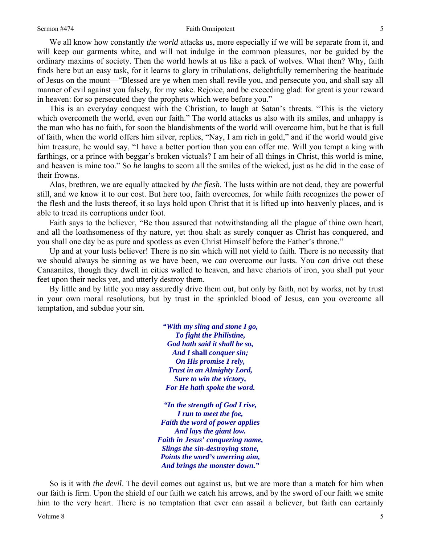#### Sermon #474 Faith Omnipotent

We all know how constantly *the world* attacks us, more especially if we will be separate from it, and will keep our garments white, and will not indulge in the common pleasures, nor be guided by the ordinary maxims of society. Then the world howls at us like a pack of wolves. What then? Why, faith finds here but an easy task, for it learns to glory in tribulations, delightfully remembering the beatitude of Jesus on the mount—"Blessed are ye when men shall revile you, and persecute you, and shall say all manner of evil against you falsely, for my sake. Rejoice, and be exceeding glad: for great is your reward in heaven: for so persecuted they the prophets which were before you."

This is an everyday conquest with the Christian, to laugh at Satan's threats. "This is the victory which overcometh the world, even our faith." The world attacks us also with its smiles, and unhappy is the man who has no faith, for soon the blandishments of the world will overcome him, but he that is full of faith, when the world offers him silver, replies, "Nay, I am rich in gold," and if the world would give him treasure, he would say, "I have a better portion than you can offer me. Will you tempt a king with farthings, or a prince with beggar's broken victuals? I am heir of all things in Christ, this world is mine, and heaven is mine too." So *he* laughs to scorn all the smiles of the wicked, just as he did in the case of their frowns.

Alas, brethren, we are equally attacked by *the flesh*. The lusts within are not dead, they are powerful still, and we know it to our cost. But here too, faith overcomes, for while faith recognizes the power of the flesh and the lusts thereof, it so lays hold upon Christ that it is lifted up into heavenly places, and is able to tread its corruptions under foot.

Faith says to the believer, "Be thou assured that notwithstanding all the plague of thine own heart, and all the loathsomeness of thy nature, yet thou shalt as surely conquer as Christ has conquered, and you shall one day be as pure and spotless as even Christ Himself before the Father's throne."

Up and at your lusts believer! There is no sin which will not yield to faith. There is no necessity that we should always be sinning as we have been, we *can* overcome our lusts. You *can* drive out these Canaanites, though they dwell in cities walled to heaven, and have chariots of iron, you shall put your feet upon their necks yet, and utterly destroy them.

By little and by little you may assuredly drive them out, but only by faith, not by works, not by trust in your own moral resolutions, but by trust in the sprinkled blood of Jesus, can you overcome all temptation, and subdue your sin.

> *"With my sling and stone I go, To fight the Philistine, God hath said it shall be so, And I* **shall** *conquer sin; On His promise I rely, Trust in an Almighty Lord, Sure to win the victory, For He hath spoke the word.*

*"In the strength of God I rise, I run to meet the foe, Faith the word of power applies And lays the giant low. Faith in Jesus' conquering name, Slings the sin-destroying stone, Points the word's unerring aim, And brings the monster down."* 

So is it with *the devil*. The devil comes out against us, but we are more than a match for him when our faith is firm. Upon the shield of our faith we catch his arrows, and by the sword of our faith we smite him to the very heart. There is no temptation that ever can assail a believer, but faith can certainly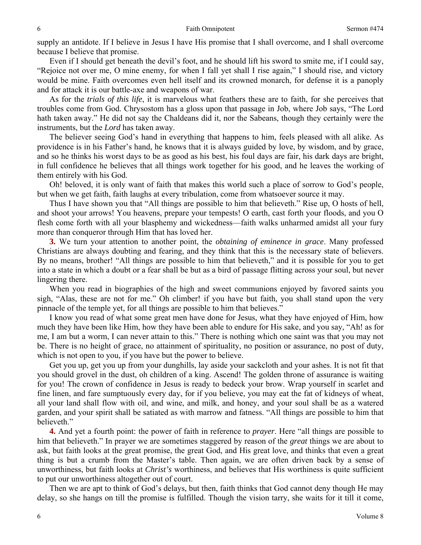supply an antidote. If I believe in Jesus I have His promise that I shall overcome, and I shall overcome because I believe that promise.

Even if I should get beneath the devil's foot, and he should lift his sword to smite me, if I could say, "Rejoice not over me, O mine enemy, for when I fall yet shall I rise again," I should rise, and victory would be mine. Faith overcomes even hell itself and its crowned monarch, for defense it is a panoply and for attack it is our battle-axe and weapons of war.

As for the *trials of this life*, it is marvelous what feathers these are to faith, for she perceives that troubles come from God. Chrysostom has a gloss upon that passage in Job, where Job says, "The Lord hath taken away." He did not say the Chaldeans did it, nor the Sabeans, though they certainly were the instruments, but the *Lord* has taken away.

The believer seeing God's hand in everything that happens to him, feels pleased with all alike. As providence is in his Father's hand, he knows that it is always guided by love, by wisdom, and by grace, and so he thinks his worst days to be as good as his best, his foul days are fair, his dark days are bright, in full confidence he believes that all things work together for his good, and he leaves the working of them entirely with his God.

Oh! beloved, it is only want of faith that makes this world such a place of sorrow to God's people, but when we get faith, faith laughs at every tribulation, come from whatsoever source it may.

Thus I have shown you that "All things are possible to him that believeth." Rise up, O hosts of hell, and shoot your arrows! You heavens, prepare your tempests! O earth, cast forth your floods, and you O flesh come forth with all your blasphemy and wickedness—faith walks unharmed amidst all your fury more than conqueror through Him that has loved her.

**3.** We turn your attention to another point, the *obtaining of eminence in grace*. Many professed Christians are always doubting and fearing, and they think that this is the necessary state of believers. By no means, brother! "All things are possible to him that believeth," and it is possible for you to get into a state in which a doubt or a fear shall be but as a bird of passage flitting across your soul, but never lingering there.

When you read in biographies of the high and sweet communions enjoyed by favored saints you sigh, "Alas, these are not for me." Oh climber! if you have but faith, you shall stand upon the very pinnacle of the temple yet, for all things are possible to him that believes."

I know you read of what some great men have done for Jesus, what they have enjoyed of Him, how much they have been like Him, how they have been able to endure for His sake, and you say, "Ah! as for me, I am but a worm, I can never attain to this." There is nothing which one saint was that you may not be. There is no height of grace, no attainment of spirituality, no position or assurance, no post of duty, which is not open to you, if you have but the power to believe.

Get you up, get you up from your dunghills, lay aside your sackcloth and your ashes. It is not fit that you should grovel in the dust, oh children of a king. Ascend! The golden throne of assurance is waiting for you! The crown of confidence in Jesus is ready to bedeck your brow. Wrap yourself in scarlet and fine linen, and fare sumptuously every day, for if you believe, you may eat the fat of kidneys of wheat, all your land shall flow with oil, and wine, and milk, and honey, and your soul shall be as a watered garden, and your spirit shall be satiated as with marrow and fatness. "All things are possible to him that believeth."

**4.** And yet a fourth point: the power of faith in reference to *prayer*. Here "all things are possible to him that believeth." In prayer we are sometimes staggered by reason of the *great* things we are about to ask, but faith looks at the great promise, the great God, and His great love, and thinks that even a great thing is but a crumb from the Master's table. Then again, we are often driven back by a sense of unworthiness, but faith looks at *Christ's* worthiness, and believes that His worthiness is quite sufficient to put our unworthiness altogether out of court.

Then we are apt to think of God's delays, but then, faith thinks that God cannot deny though He may delay, so she hangs on till the promise is fulfilled. Though the vision tarry, she waits for it till it come,

6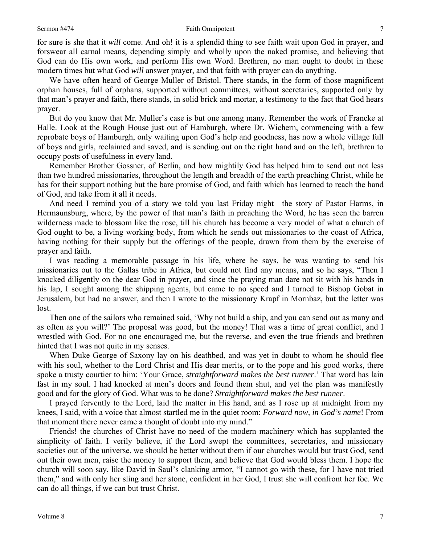for sure is she that it *will* come. And oh! it is a splendid thing to see faith wait upon God in prayer, and forswear all carnal means, depending simply and wholly upon the naked promise, and believing that God can do His own work, and perform His own Word. Brethren, no man ought to doubt in these modern times but what God *will* answer prayer, and that faith with prayer can do anything.

We have often heard of George Muller of Bristol. There stands, in the form of those magnificent orphan houses, full of orphans, supported without committees, without secretaries, supported only by that man's prayer and faith, there stands, in solid brick and mortar, a testimony to the fact that God hears prayer.

But do you know that Mr. Muller's case is but one among many. Remember the work of Francke at Halle. Look at the Rough House just out of Hamburgh, where Dr. Wichern, commencing with a few reprobate boys of Hamburgh, only waiting upon God's help and goodness, has now a whole village full of boys and girls, reclaimed and saved, and is sending out on the right hand and on the left, brethren to occupy posts of usefulness in every land.

Remember Brother Gossner, of Berlin, and how mightily God has helped him to send out not less than two hundred missionaries, throughout the length and breadth of the earth preaching Christ, while he has for their support nothing but the bare promise of God, and faith which has learned to reach the hand of God, and take from it all it needs.

And need I remind you of a story we told you last Friday night—the story of Pastor Harms, in Hermaunsburg, where, by the power of that man's faith in preaching the Word, he has seen the barren wilderness made to blossom like the rose, till his church has become a very model of what a church of God ought to be, a living working body, from which he sends out missionaries to the coast of Africa, having nothing for their supply but the offerings of the people, drawn from them by the exercise of prayer and faith.

I was reading a memorable passage in his life, where he says, he was wanting to send his missionaries out to the Gallas tribe in Africa, but could not find any means, and so he says, "Then I knocked diligently on the dear God in prayer, and since the praying man dare not sit with his hands in his lap, I sought among the shipping agents, but came to no speed and I turned to Bishop Gobat in Jerusalem, but had no answer, and then I wrote to the missionary Krapf in Mornbaz, but the letter was lost.

Then one of the sailors who remained said, 'Why not build a ship, and you can send out as many and as often as you will?' The proposal was good, but the money! That was a time of great conflict, and I wrestled with God. For no one encouraged me, but the reverse, and even the true friends and brethren hinted that I was not quite in my senses.

When Duke George of Saxony lay on his deathbed, and was yet in doubt to whom he should flee with his soul, whether to the Lord Christ and His dear merits, or to the pope and his good works, there spoke a trusty courtier to him: 'Your Grace, *straightforward makes the best runner*.' That word has lain fast in my soul. I had knocked at men's doors and found them shut, and yet the plan was manifestly good and for the glory of God. What was to be done? *Straightforward makes the best runner*.

I prayed fervently to the Lord, laid the matter in His hand, and as I rose up at midnight from my knees, I said, with a voice that almost startled me in the quiet room: *Forward now, in God's name*! From that moment there never came a thought of doubt into my mind."

Friends! the churches of Christ have no need of the modern machinery which has supplanted the simplicity of faith. I verily believe, if the Lord swept the committees, secretaries, and missionary societies out of the universe, we should be better without them if our churches would but trust God, send out their own men, raise the money to support them, and believe that God would bless them. I hope the church will soon say, like David in Saul's clanking armor, "I cannot go with these, for I have not tried them," and with only her sling and her stone, confident in her God, I trust she will confront her foe. We can do all things, if we can but trust Christ.

7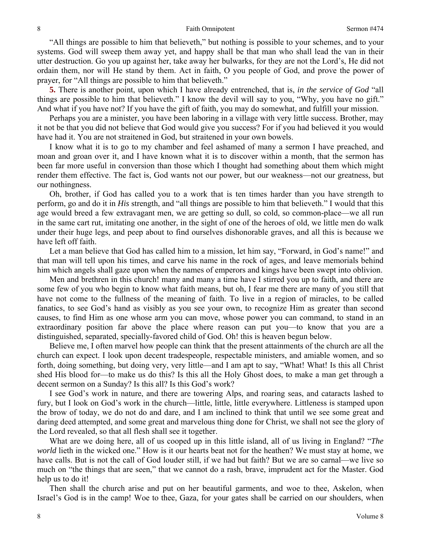"All things are possible to him that believeth," but nothing is possible to your schemes, and to your systems. God will sweep them away yet, and happy shall be that man who shall lead the van in their utter destruction. Go you up against her, take away her bulwarks, for they are not the Lord's, He did not ordain them, nor will He stand by them. Act in faith, O you people of God, and prove the power of prayer, for "All things are possible to him that believeth."

**5.** There is another point, upon which I have already entrenched, that is, *in the service of God* "all things are possible to him that believeth." I know the devil will say to you, "Why, you have no gift." And what if you have not? If you have the gift of faith, you may do somewhat, and fulfill your mission.

Perhaps you are a minister, you have been laboring in a village with very little success. Brother, may it not be that you did not believe that God would give you success? For if you had believed it you would have had it. You are not straitened in God, but straitened in your own bowels.

I know what it is to go to my chamber and feel ashamed of many a sermon I have preached, and moan and groan over it, and I have known what it is to discover within a month, that the sermon has been far more useful in conversion than those which I thought had something about them which might render them effective. The fact is, God wants not our power*,* but our weakness—not our greatness, but our nothingness.

Oh, brother, if God has called you to a work that is ten times harder than you have strength to perform, go and do it in *His* strength, and "all things are possible to him that believeth." I would that this age would breed a few extravagant men, we are getting so dull, so cold, so common-place—we all run in the same cart rut, imitating one another, in the sight of one of the heroes of old, we little men do walk under their huge legs, and peep about to find ourselves dishonorable graves, and all this is because we have left off faith.

Let a man believe that God has called him to a mission, let him say, "Forward, in God's name!" and that man will tell upon his times, and carve his name in the rock of ages, and leave memorials behind him which angels shall gaze upon when the names of emperors and kings have been swept into oblivion.

Men and brethren in this church! many and many a time have I stirred you up to faith, and there are some few of you who begin to know what faith means, but oh, I fear me there are many of you still that have not come to the fullness of the meaning of faith. To live in a region of miracles, to be called fanatics, to see God's hand as visibly as you see your own, to recognize Him as greater than second causes, to find Him as one whose arm you can move, whose power you can command, to stand in an extraordinary position far above the place where reason can put you—to know that you are a distinguished, separated, specially-favored child of God. Oh! this is heaven begun below.

Believe me, I often marvel how people can think that the present attainments of the church are all the church can expect. I look upon decent tradespeople, respectable ministers, and amiable women, and so forth, doing something, but doing very, very little—and I am apt to say, "What! What! Is this all Christ shed His blood for—to make us do this? Is this all the Holy Ghost does, to make a man get through a decent sermon on a Sunday? Is this all? Is this God's work?

I see God's work in nature, and there are towering Alps, and roaring seas, and cataracts lashed to fury, but I look on God's work in the church—little, little, little everywhere. Littleness is stamped upon the brow of today, we do not do and dare, and I am inclined to think that until we see some great and daring deed attempted, and some great and marvelous thing done for Christ, we shall not see the glory of the Lord revealed, so that all flesh shall see it together.

What are we doing here, all of us cooped up in this little island, all of us living in England? "*The world* lieth in the wicked one." How is it our hearts beat not for the heathen? We must stay at home, we have calls. But is not the call of God louder still, if we had but faith? But we are so carnal—we live so much on "the things that are seen," that we cannot do a rash, brave, imprudent act for the Master. God help us to do it!

Then shall the church arise and put on her beautiful garments, and woe to thee, Askelon, when Israel's God is in the camp! Woe to thee, Gaza, for your gates shall be carried on our shoulders, when

8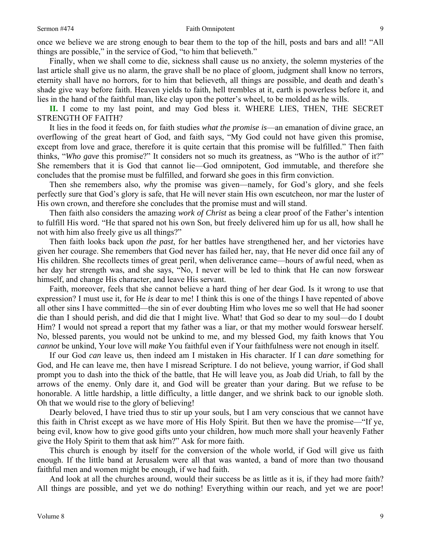Finally, when we shall come to die, sickness shall cause us no anxiety, the solemn mysteries of the last article shall give us no alarm, the grave shall be no place of gloom, judgment shall know no terrors, eternity shall have no horrors, for to him that believeth, all things are possible, and death and death's shade give way before faith. Heaven yields to faith, hell trembles at it, earth is powerless before it, and lies in the hand of the faithful man, like clay upon the potter's wheel, to be molded as he wills.

**II.** I come to my last point, and may God bless it. WHERE LIES, THEN, THE SECRET STRENGTH OF FAITH?

It lies in the food it feeds on, for faith studies *what the promise is*—an emanation of divine grace, an overflowing of the great heart of God, and faith says, "My God could not have given this promise, except from love and grace, therefore it is quite certain that this promise will be fulfilled." Then faith thinks, "*Who gave* this promise?" It considers not so much its greatness, as "Who is the author of it?" She remembers that it is God that cannot lie—God omnipotent, God immutable, and therefore she concludes that the promise must be fulfilled, and forward she goes in this firm conviction.

Then she remembers also, *why* the promise was given—namely, for God's glory, and she feels perfectly sure that God's glory is safe, that He will never stain His own escutcheon, nor mar the luster of His own crown, and therefore she concludes that the promise must and will stand.

Then faith also considers the amazing *work of Christ* as being a clear proof of the Father's intention to fulfill His word. "He that spared not his own Son, but freely delivered him up for us all, how shall he not with him also freely give us all things?"

Then faith looks back upon *the past*, for her battles have strengthened her, and her victories have given her courage. She remembers that God never has failed her, nay, that He never did once fail any of His children. She recollects times of great peril, when deliverance came—hours of awful need, when as her day her strength was, and she says, "No, I never will be led to think that He can now forswear himself, and change His character, and leave His servant.

Faith, moreover, feels that she cannot believe a hard thing of her dear God. Is it wrong to use that expression? I must use it, for He *is* dear to me! I think this is one of the things I have repented of above all other sins I have committed—the sin of ever doubting Him who loves me so well that He had sooner die than I should perish, and did die that I might live. What! that God so dear to my soul—do I doubt Him? I would not spread a report that my father was a liar, or that my mother would forswear herself. No, blessed parents, you would not be unkind to me, and my blessed God, my faith knows that You *cannot* be unkind, Your love will *make* You faithful even if Your faithfulness were not enough in itself.

If our God *can* leave us, then indeed am I mistaken in His character. If I can *dare* something for God, and He can leave me, then have I misread Scripture. I do not believe, young warrior, if God shall prompt you to dash into the thick of the battle, that He will leave you, as Joab did Uriah, to fall by the arrows of the enemy. Only dare it, and God will be greater than your daring. But we refuse to be honorable. A little hardship, a little difficulty, a little danger, and we shrink back to our ignoble sloth. Oh that we would rise to the glory of believing!

Dearly beloved, I have tried thus to stir up your souls, but I am very conscious that we cannot have this faith in Christ except as we have more of His Holy Spirit. But then we have the promise—"If ye, being evil, know how to give good gifts unto your children, how much more shall your heavenly Father give the Holy Spirit to them that ask him?" Ask for more faith.

This church is enough by itself for the conversion of the whole world, if God will give us faith enough. If the little band at Jerusalem were all that was wanted, a band of more than two thousand faithful men and women might be enough, if we had faith.

And look at all the churches around, would their success be as little as it is, if they had more faith? All things are possible, and yet we do nothing! Everything within our reach, and yet we are poor!